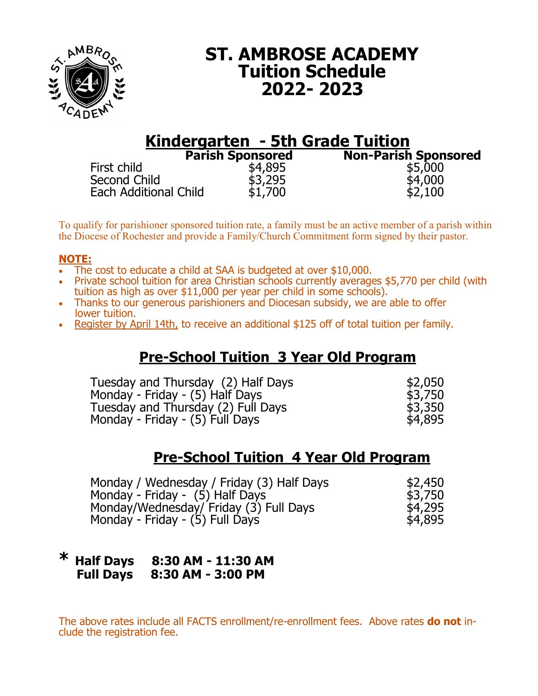

# **ST. AMBROSE ACADEMY Tuition Schedule 2022- 2023**

## **Kindergarten - 5th Grade Tuition Parish Sponsored Non-Parish Sponsored**

First child  $$4,895$  \$5,000<br>Second Child \$3.295 \$4,000 Second Child \$3,295 \$4,000 Each Additional Child

| onsored |  |
|---------|--|
| \$4,895 |  |
| \$3,295 |  |
|         |  |
| \$1,700 |  |

To qualify for parishioner sponsored tuition rate, a family must be an active member of a parish within the Diocese of Rochester and provide a Family/Church Commitment form signed by their pastor.

### **NOTE:**

- The cost to educate a child at SAA is budgeted at over \$10,000.
- Private school tuition for area Christian schools currently averages \$5,770 per child (with tuition as high as over \$11,000 per year per child in some schools).
- Thanks to our generous parishioners and Diocesan subsidy, we are able to offer lower tuition.
- Register by April 14th, to receive an additional \$125 off of total tuition per family.

## **Pre-School Tuition 3 Year Old Program**

Tuesday and Thursday (2) Half Days  $$2,050$ Monday - Friday - (5) Half Days<br>Tuesday and Thursday (2) Full Days 63,350 Tuesday and Thursday (2) Full Days Monday - Friday -  $(5)$  Full Days  $\overline{5}$   $\overline{5}$   $\overline{5}$   $\overline{5}$   $\overline{5}$ 

## **Pre-School Tuition 4 Year Old Program**

| Monday / Wednesday / Friday (3) Half Days | \$2,450 |
|-------------------------------------------|---------|
| Monday - Friday - (5) Half Days           | \$3,750 |
| Monday/Wednesday/ Friday (3) Full Days    | \$4,295 |
| Monday - Friday - (5) Full Days           | \$4,895 |

### **\* Half Days 8:30 AM - 11:30 AM Full Days 8:30 AM - 3:00 PM**

The above rates include all FACTS enrollment/re-enrollment fees. Above rates **do not** include the registration fee.